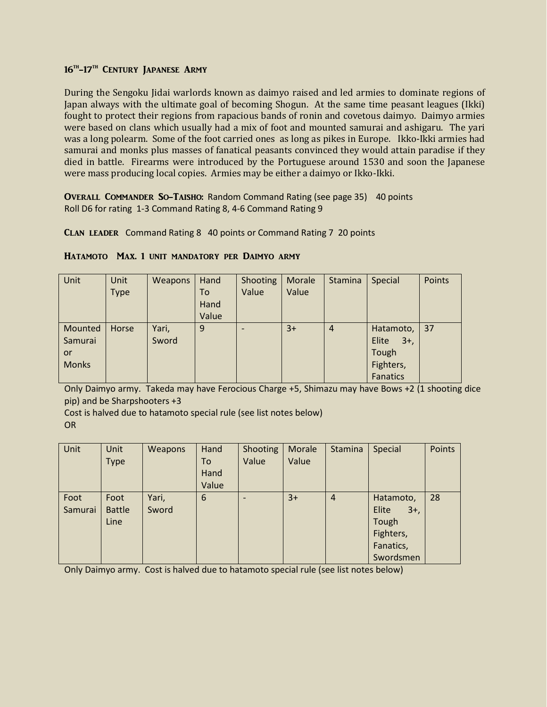# 16<sup>th</sup>-17<sup>th</sup> Century Japanese Army

During the Sengoku Jidai warlords known as daimyo raised and led armies to dominate regions of Japan always with the ultimate goal of becoming Shogun. At the same time peasant leagues (Ikki) fought to protect their regions from rapacious bands of ronin and covetous daimyo. Daimyo armies were based on clans which usually had a mix of foot and mounted samurai and ashigaru. The yari was a long polearm. Some of the foot carried ones as long as pikes in Europe. Ikko-Ikki armies had samurai and monks plus masses of fanatical peasants convinced they would attain paradise if they died in battle. Firearms were introduced by the Portuguese around 1530 and soon the Japanese were mass producing local copies. Armies may be either a daimyo or Ikko-Ikki.

Overall Commander So-Taisho: Random Command Rating (see page 35) 40 points Roll D6 for rating 1-3 Command Rating 8, 4-6 Command Rating 9

Clan leader Command Rating 8 40 points or Command Rating 7 20 points

| Unit         | Unit        | Weapons | Hand  | Shooting | Morale | Stamina        | Special         | Points |
|--------------|-------------|---------|-------|----------|--------|----------------|-----------------|--------|
|              | <b>Type</b> |         | To    | Value    | Value  |                |                 |        |
|              |             |         | Hand  |          |        |                |                 |        |
|              |             |         | Value |          |        |                |                 |        |
| Mounted      | Horse       | Yari,   | 9     |          | $3+$   | $\overline{4}$ | Hatamoto,       | 37     |
| Samurai      |             | Sword   |       |          |        |                | Elite<br>$3+$ , |        |
| or           |             |         |       |          |        |                | Tough           |        |
| <b>Monks</b> |             |         |       |          |        |                | Fighters,       |        |
|              |             |         |       |          |        |                | Fanatics        |        |

## Hatamoto Max. 1 unit mandatory per Daimyo army

Only Daimyo army. Takeda may have Ferocious Charge +5, Shimazu may have Bows +2 (1 shooting dice pip) and be Sharpshooters +3

Cost is halved due to hatamoto special rule (see list notes below) OR

| Unit    | Unit          | Weapons | Hand  | Shooting        | Morale | Stamina        | Special         | Points |
|---------|---------------|---------|-------|-----------------|--------|----------------|-----------------|--------|
|         | <b>Type</b>   |         | To    | Value           | Value  |                |                 |        |
|         |               |         | Hand  |                 |        |                |                 |        |
|         |               |         | Value |                 |        |                |                 |        |
| Foot    | Foot          | Yari,   | 6     | $\qquad \qquad$ | $3+$   | $\overline{4}$ | Hatamoto,       | 28     |
| Samurai | <b>Battle</b> | Sword   |       |                 |        |                | Elite<br>$3+$ , |        |
|         | Line          |         |       |                 |        |                | Tough           |        |
|         |               |         |       |                 |        |                | Fighters,       |        |
|         |               |         |       |                 |        |                | Fanatics,       |        |
|         |               |         |       |                 |        |                | Swordsmen       |        |

Only Daimyo army. Cost is halved due to hatamoto special rule (see list notes below)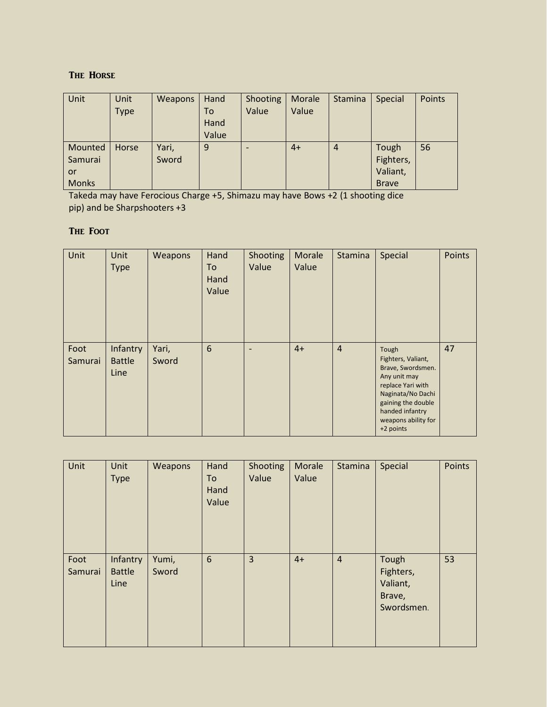# The Horse

| Unit         | Unit        | Weapons | Hand  | Shooting | Morale | Stamina        | Special      | Points |
|--------------|-------------|---------|-------|----------|--------|----------------|--------------|--------|
|              | <b>Type</b> |         | To    | Value    | Value  |                |              |        |
|              |             |         | Hand  |          |        |                |              |        |
|              |             |         | Value |          |        |                |              |        |
| Mounted      | Horse       | Yari,   | 9     | ۰        | $4+$   | $\overline{4}$ | Tough        | 56     |
| Samurai      |             | Sword   |       |          |        |                | Fighters,    |        |
| or           |             |         |       |          |        |                | Valiant,     |        |
| <b>Monks</b> |             |         |       |          |        |                | <b>Brave</b> |        |

Takeda may have Ferocious Charge +5, Shimazu may have Bows +2 (1 shooting dice pip) and be Sharpshooters +3

# The Foot

| Unit            | Unit<br><b>Type</b>               | Weapons        | Hand<br>To<br>Hand<br>Value | Shooting<br>Value        | Morale<br>Value | Stamina        | Special                                                                                                                                                                                 | <b>Points</b> |
|-----------------|-----------------------------------|----------------|-----------------------------|--------------------------|-----------------|----------------|-----------------------------------------------------------------------------------------------------------------------------------------------------------------------------------------|---------------|
| Foot<br>Samurai | Infantry<br><b>Battle</b><br>Line | Yari,<br>Sword | 6                           | $\overline{\phantom{0}}$ | $4+$            | $\overline{4}$ | Tough<br>Fighters, Valiant,<br>Brave, Swordsmen.<br>Any unit may<br>replace Yari with<br>Naginata/No Dachi<br>gaining the double<br>handed infantry<br>weapons ability for<br>+2 points | 47            |

| Unit            | Unit<br><b>Type</b>               | Weapons        | Hand<br>To<br>Hand<br>Value | Shooting<br>Value | Morale<br>Value | Stamina        | Special                                                | <b>Points</b> |
|-----------------|-----------------------------------|----------------|-----------------------------|-------------------|-----------------|----------------|--------------------------------------------------------|---------------|
| Foot<br>Samurai | Infantry<br><b>Battle</b><br>Line | Yumi,<br>Sword | 6                           | $\overline{3}$    | $4+$            | $\overline{4}$ | Tough<br>Fighters,<br>Valiant,<br>Brave,<br>Swordsmen. | 53            |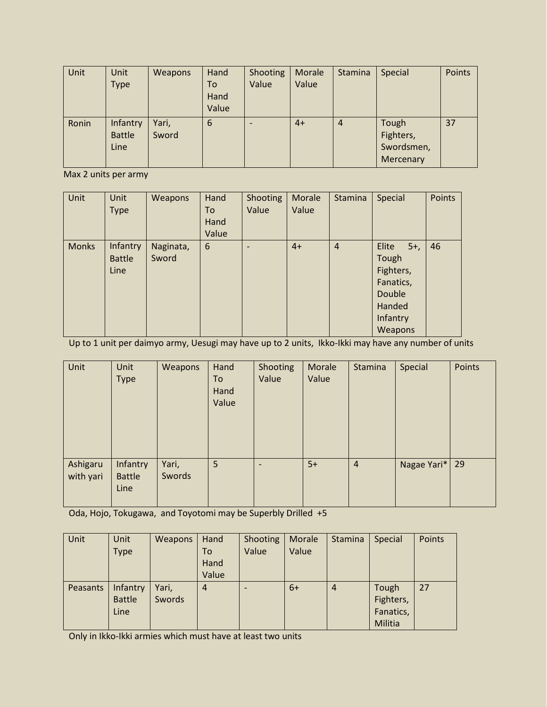| Unit  | Unit          | Weapons | Hand  | Shooting | Morale | Stamina        | Special    | Points |
|-------|---------------|---------|-------|----------|--------|----------------|------------|--------|
|       | <b>Type</b>   |         | To    | Value    | Value  |                |            |        |
|       |               |         | Hand  |          |        |                |            |        |
|       |               |         | Value |          |        |                |            |        |
| Ronin | Infantry      | Yari,   | 6     |          | $4+$   | $\overline{4}$ | Tough      | 37     |
|       | <b>Battle</b> | Sword   |       |          |        |                | Fighters,  |        |
|       | Line          |         |       |          |        |                | Swordsmen, |        |
|       |               |         |       |          |        |                | Mercenary  |        |

Max 2 units per army

| Unit         | <b>Unit</b><br><b>Type</b>        | <b>Weapons</b>     | Hand<br>To<br>Hand<br>Value | Shooting<br>Value | Morale<br>Value | Stamina        | Special                                                                                      | <b>Points</b> |
|--------------|-----------------------------------|--------------------|-----------------------------|-------------------|-----------------|----------------|----------------------------------------------------------------------------------------------|---------------|
| <b>Monks</b> | Infantry<br><b>Battle</b><br>Line | Naginata,<br>Sword | 6                           | $\qquad \qquad$   | $4+$            | $\overline{4}$ | Elite<br>$5+,$<br>Tough<br>Fighters,<br>Fanatics,<br>Double<br>Handed<br>Infantry<br>Weapons | 46            |

Up to 1 unit per daimyo army, Uesugi may have up to 2 units, Ikko-Ikki may have any number of units

| Unit                  | Unit<br>Type                      | <b>Weapons</b>  | Hand<br>To<br>Hand<br>Value | Shooting<br>Value        | Morale<br>Value | Stamina        | Special          | Points |
|-----------------------|-----------------------------------|-----------------|-----------------------------|--------------------------|-----------------|----------------|------------------|--------|
| Ashigaru<br>with yari | Infantry<br><b>Battle</b><br>Line | Yari,<br>Swords | 5                           | $\overline{\phantom{0}}$ | $5+$            | $\overline{4}$ | Nagae Yari*   29 |        |

Oda, Hojo, Tokugawa, and Toyotomi may be Superbly Drilled +5

| Unit            | Unit          | <b>Weapons</b> | Hand           | Shooting                 | Morale | Stamina | Special   | Points |
|-----------------|---------------|----------------|----------------|--------------------------|--------|---------|-----------|--------|
|                 | <b>Type</b>   |                | To             | Value                    | Value  |         |           |        |
|                 |               |                | Hand           |                          |        |         |           |        |
|                 |               |                | Value          |                          |        |         |           |        |
| <b>Peasants</b> | Infantry      | Yari,          | $\overline{4}$ | $\overline{\phantom{0}}$ | $6+$   | 4       | Tough     | 27     |
|                 | <b>Battle</b> | Swords         |                |                          |        |         | Fighters, |        |
|                 | Line          |                |                |                          |        |         | Fanatics, |        |
|                 |               |                |                |                          |        |         | Militia   |        |

Only in Ikko-Ikki armies which must have at least two units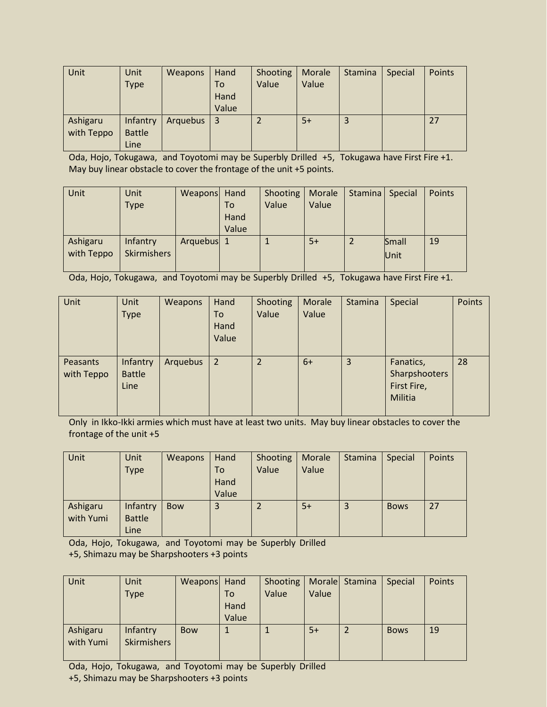| Unit       | Unit          | Weapons  | Hand           | Shooting       | Morale | <b>Stamina</b> | <b>Special</b> | Points |
|------------|---------------|----------|----------------|----------------|--------|----------------|----------------|--------|
|            | <b>Type</b>   |          | <b>To</b>      | Value          | Value  |                |                |        |
|            |               |          | Hand           |                |        |                |                |        |
|            |               |          | Value          |                |        |                |                |        |
| Ashigaru   | Infantry      | Arquebus | $\overline{3}$ | $\overline{2}$ | $5+$   | 3              |                | 27     |
| with Teppo | <b>Battle</b> |          |                |                |        |                |                |        |
|            | Line          |          |                |                |        |                |                |        |

Oda, Hojo, Tokugawa, and Toyotomi may be Superbly Drilled +5, Tokugawa have First Fire +1. May buy linear obstacle to cover the frontage of the unit +5 points.

| <b>Unit</b> | Unit               | Weapons Hand |       | Shooting | Morale | Stamina | Special | Points |
|-------------|--------------------|--------------|-------|----------|--------|---------|---------|--------|
|             | <b>Type</b>        |              | To    | Value    | Value  |         |         |        |
|             |                    |              | Hand  |          |        |         |         |        |
|             |                    |              | Value |          |        |         |         |        |
| Ashigaru    | Infantry           | Arquebus 1   |       |          | $5+$   |         | Small   | 19     |
| with Teppo  | <b>Skirmishers</b> |              |       |          |        |         | Unit    |        |
|             |                    |              |       |          |        |         |         |        |

Oda, Hojo, Tokugawa, and Toyotomi may be Superbly Drilled +5, Tokugawa have First Fire +1.

| Unit                   | Unit<br><b>Type</b>               | Weapons  | Hand<br>To<br>Hand<br>Value | Shooting<br>Value | Morale<br>Value | Stamina        | Special                                              | Points |
|------------------------|-----------------------------------|----------|-----------------------------|-------------------|-----------------|----------------|------------------------------------------------------|--------|
| Peasants<br>with Teppo | Infantry<br><b>Battle</b><br>Line | Arquebus | 2                           | 2                 | $6+$            | $\overline{3}$ | Fanatics,<br>Sharpshooters<br>First Fire,<br>Militia | 28     |

Only in Ikko-Ikki armies which must have at least two units. May buy linear obstacles to cover the frontage of the unit +5

| Unit      | Unit          | Weapons    | Hand  | Shooting | Morale | Stamina | Special     | Points |
|-----------|---------------|------------|-------|----------|--------|---------|-------------|--------|
|           | <b>Type</b>   |            | To    | Value    | Value  |         |             |        |
|           |               |            | Hand  |          |        |         |             |        |
|           |               |            | Value |          |        |         |             |        |
| Ashigaru  | Infantry      | <b>Bow</b> | 3     |          | $5+$   | 3       | <b>Bows</b> | 27     |
| with Yumi | <b>Battle</b> |            |       |          |        |         |             |        |
|           | Line          |            |       |          |        |         |             |        |

Oda, Hojo, Tokugawa, and Toyotomi may be Superbly Drilled +5, Shimazu may be Sharpshooters +3 points

| Unit                  | Unit<br><b>Type</b>            | Weapons Hand | To<br>Hand<br>Value | Shooting<br>Value | Value | Morale Stamina | Special     | Points |
|-----------------------|--------------------------------|--------------|---------------------|-------------------|-------|----------------|-------------|--------|
| Ashigaru<br>with Yumi | Infantry<br><b>Skirmishers</b> | <b>Bow</b>   |                     |                   | $5+$  |                | <b>Bows</b> | 19     |

Oda, Hojo, Tokugawa, and Toyotomi may be Superbly Drilled +5, Shimazu may be Sharpshooters +3 points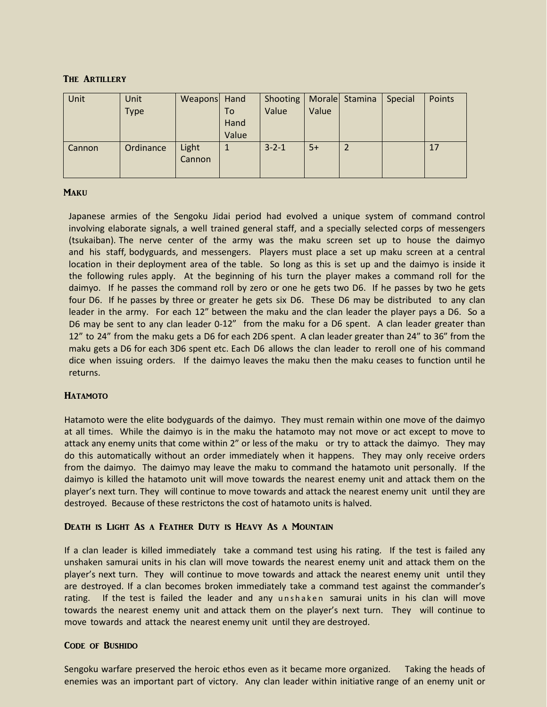## The Artillery

| Unit   | Unit        | Weapons Hand    |       | Shooting   Morale   Stamina |       | Special | Points |
|--------|-------------|-----------------|-------|-----------------------------|-------|---------|--------|
|        | <b>Type</b> |                 | To    | Value                       | Value |         |        |
|        |             |                 | Hand  |                             |       |         |        |
|        |             |                 | Value |                             |       |         |        |
| Cannon | Ordinance   | Light<br>Cannon |       | $3 - 2 - 1$                 | $5+$  |         | 17     |

## **MAKU**

Japanese armies of the Sengoku Jidai period had evolved a unique system of command control involving elaborate signals, a well trained general staff, and a specially selected corps of messengers (tsukaiban). The nerve center of the army was the maku screen set up to house the daimyo and his staff, bodyguards, and messengers. Players must place a set up maku screen at a central location in their deployment area of the table. So long as this is set up and the daimyo is inside it the following rules apply. At the beginning of his turn the player makes a command roll for the daimyo. If he passes the command roll by zero or one he gets two D6. If he passes by two he gets four D6. If he passes by three or greater he gets six D6. These D6 may be distributed to any clan leader in the army. For each 12" between the maku and the clan leader the player pays a D6. So a D6 may be sent to any clan leader 0-12" from the maku for a D6 spent. A clan leader greater than 12" to 24" from the maku gets a D6 for each 2D6 spent. A clan leader greater than 24" to 36" from the maku gets a D6 for each 3D6 spent etc. Each D6 allows the clan leader to reroll one of his command dice when issuing orders. If the daimyo leaves the maku then the maku ceases to function until he returns.

## **HATAMOTO**

Hatamoto were the elite bodyguards of the daimyo. They must remain within one move of the daimyo at all times. While the daimyo is in the maku the hatamoto may not move or act except to move to attack any enemy units that come within 2" or less of the maku or try to attack the daimyo. They may do this automatically without an order immediately when it happens. They may only receive orders from the daimyo. The daimyo may leave the maku to command the hatamoto unit personally. If the daimyo is killed the hatamoto unit will move towards the nearest enemy unit and attack them on the player's next turn. They will continue to move towards and attack the nearest enemy unit until they are destroyed. Because of these restrictons the cost of hatamoto units is halved.

## Death is Light As a Feather Duty is Heavy As a Mountain

If a clan leader is killed immediately take a command test using his rating. If the test is failed any unshaken samurai units in his clan will move towards the nearest enemy unit and attack them on the player's next turn. They will continue to move towards and attack the nearest enemy unit until they are destroyed. If a clan becomes broken immediately take a command test against the commander's rating. If the test is failed the leader and any unshaken samurai units in his clan will move towards the nearest enemy unit and attack them on the player's next turn. They will continue to move towards and attack the nearest enemy unit until they are destroyed.

## Code of Bushido

Sengoku warfare preserved the heroic ethos even as it became more organized. Taking the heads of enemies was an important part of victory. Any clan leader within initiative range of an enemy unit or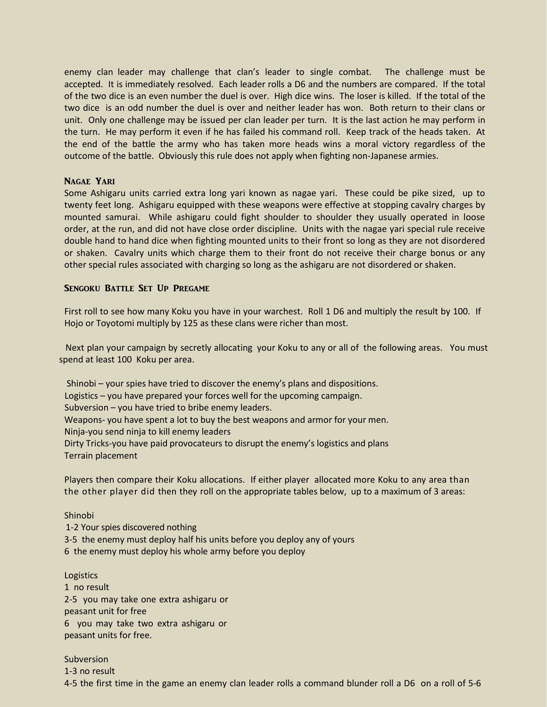enemy clan leader may challenge that clan's leader to single combat. The challenge must be accepted. It is immediately resolved. Each leader rolls a D6 and the numbers are compared. If the total of the two dice is an even number the duel is over. High dice wins. The loser is killed. If the total of the two dice is an odd number the duel is over and neither leader has won. Both return to their clans or unit. Only one challenge may be issued per clan leader per turn. It is the last action he may perform in the turn. He may perform it even if he has failed his command roll. Keep track of the heads taken. At the end of the battle the army who has taken more heads wins a moral victory regardless of the outcome of the battle. Obviously this rule does not apply when fighting non-Japanese armies.

#### Nagae Yari

Some Ashigaru units carried extra long yari known as nagae yari. These could be pike sized, up to twenty feet long. Ashigaru equipped with these weapons were effective at stopping cavalry charges by mounted samurai. While ashigaru could fight shoulder to shoulder they usually operated in loose order, at the run, and did not have close order discipline. Units with the nagae yari special rule receive double hand to hand dice when fighting mounted units to their front so long as they are not disordered or shaken. Cavalry units which charge them to their front do not receive their charge bonus or any other special rules associated with charging so long as the ashigaru are not disordered or shaken.

#### Sengoku Battle Set Up Pregame

First roll to see how many Koku you have in your warchest. Roll 1 D6 and multiply the result by 100. If Hojo or Toyotomi multiply by 125 as these clans were richer than most.

 Next plan your campaign by secretly allocating your Koku to any or all of the following areas. You must spend at least 100 Koku per area.

Shinobi – your spies have tried to discover the enemy's plans and dispositions.

Logistics – you have prepared your forces well for the upcoming campaign.

Subversion – you have tried to bribe enemy leaders.

Weapons- you have spent a lot to buy the best weapons and armor for your men.

Ninja-you send ninja to kill enemy leaders

Dirty Tricks-you have paid provocateurs to disrupt the enemy's logistics and plans Terrain placement

Players then compare their Koku allocations. If either player allocated more Koku to any area than the other player did then they roll on the appropriate tables below, up to a maximum of 3 areas:

#### Shinobi

 1-2 Your spies discovered nothing 3-5 the enemy must deploy half his units before you deploy any of yours 6 the enemy must deploy his whole army before you deploy

#### Logistics

1 no result 2-5 you may take one extra ashigaru or peasant unit for free 6 you may take two extra ashigaru or peasant units for free.

Subversion 1-3 no result 4-5 the first time in the game an enemy clan leader rolls a command blunder roll a D6 on a roll of 5-6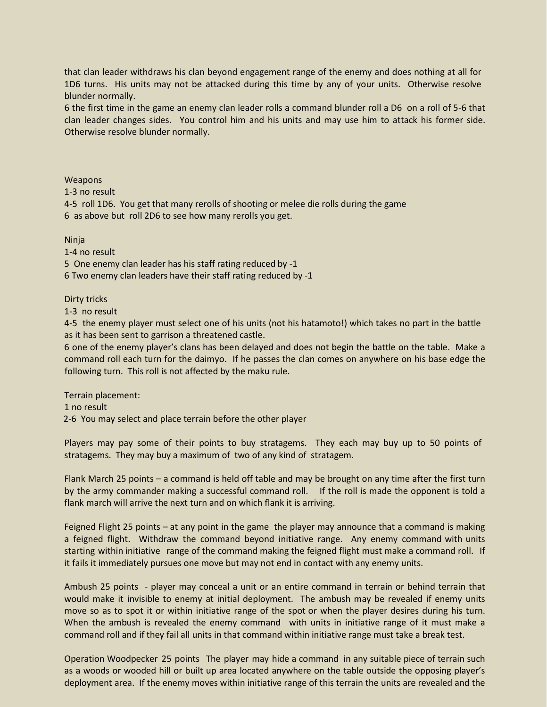that clan leader withdraws his clan beyond engagement range of the enemy and does nothing at all for 1D6 turns. His units may not be attacked during this time by any of your units. Otherwise resolve blunder normally.

6 the first time in the game an enemy clan leader rolls a command blunder roll a D6 on a roll of 5-6 that clan leader changes sides. You control him and his units and may use him to attack his former side. Otherwise resolve blunder normally.

Weapons

1-3 no result

4-5 roll 1D6. You get that many rerolls of shooting or melee die rolls during the game 6 as above but roll 2D6 to see how many rerolls you get.

Ninja

1-4 no result

5 One enemy clan leader has his staff rating reduced by -1

6 Two enemy clan leaders have their staff rating reduced by -1

Dirty tricks

1-3 no result

4-5 the enemy player must select one of his units (not his hatamoto!) which takes no part in the battle as it has been sent to garrison a threatened castle.

6 one of the enemy player's clans has been delayed and does not begin the battle on the table. Make a command roll each turn for the daimyo. If he passes the clan comes on anywhere on his base edge the following turn. This roll is not affected by the maku rule.

Terrain placement:

1 no result

2-6 You may select and place terrain before the other player

Players may pay some of their points to buy stratagems. They each may buy up to 50 points of stratagems. They may buy a maximum of two of any kind of stratagem.

Flank March 25 points – a command is held off table and may be brought on any time after the first turn by the army commander making a successful command roll. If the roll is made the opponent is told a flank march will arrive the next turn and on which flank it is arriving.

Feigned Flight 25 points – at any point in the game the player may announce that a command is making a feigned flight. Withdraw the command beyond initiative range. Any enemy command with units starting within initiative range of the command making the feigned flight must make a command roll. If it fails it immediately pursues one move but may not end in contact with any enemy units.

Ambush 25 points - player may conceal a unit or an entire command in terrain or behind terrain that would make it invisible to enemy at initial deployment. The ambush may be revealed if enemy units move so as to spot it or within initiative range of the spot or when the player desires during his turn. When the ambush is revealed the enemy command with units in initiative range of it must make a command roll and if they fail all units in that command within initiative range must take a break test.

Operation Woodpecker 25 points The player may hide a command in any suitable piece of terrain such as a woods or wooded hill or built up area located anywhere on the table outside the opposing player's deployment area. If the enemy moves within initiative range of this terrain the units are revealed and the